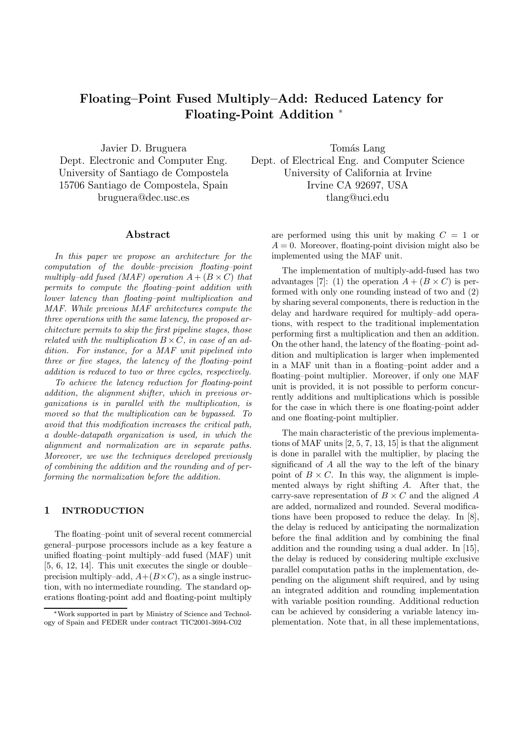# Floating—Point Fused Multiply—Add: Reduced Latency for Floating-Point Addition <sup>∗</sup>

Javier D. Bruguera Dept. Electronic and Computer Eng. University of Santiago de Compostela 15706 Santiago de Compostela, Spain bruguera@dec.usc.es

### Abstract

In this paper we propose an architecture for the computation of the double—precision floating—point multiply–add fused (MAF) operation  $A + (B \times C)$  that permits to compute the floating—point addition with lower latency than floating—point multiplication and MAF. While previous MAF architectures compute the three operations with the same latency, the proposed architecture permits to skip the first pipeline stages, those related with the multiplication  $B \times C$ , in case of an addition. For instance, for a MAF unit pipelined into three or five stages, the latency of the floating—point addition is reduced to two or three cycles, respectively.

To achieve the latency reduction for floating-point addition, the alignment shifter, which in previous organizations is in parallel with the multiplication, is moved so that the multiplication can be bypassed. To avoid that this modification increases the critical path, a double-datapath organization is used, in which the alignment and normalization are in separate paths. Moreover, we use the techniques developed previously of combining the addition and the rounding and of performing the normalization before the addition.

## 1 INTRODUCTION

The floating—point unit of several recent commercial general—purpose processors include as a key feature a unified floating—point multiply—add fused (MAF) unit  $[5, 6, 12, 14]$ . This unit executes the single or doubleprecision multiply–add,  $A+(B\times C)$ , as a single instruction, with no intermediate rounding. The standard operations floating-point add and floating-point multiply

Tomás Lang Dept. of Electrical Eng. and Computer Science University of California at Irvine Irvine CA 92697, USA tlang@uci.edu

are performed using this unit by making  $C = 1$  or  $A = 0$ . Moreover, floating-point division might also be implemented using the MAF unit.

The implementation of multiply-add-fused has two advantages [7]: (1) the operation  $A + (B \times C)$  is performed with only one rounding instead of two and (2) by sharing several components, there is reduction in the delay and hardware required for multiply—add operations, with respect to the traditional implementation performing first a multiplication and then an addition. On the other hand, the latency of the floating—point addition and multiplication is larger when implemented in a MAF unit than in a floating—point adder and a floating—point multiplier. Moreover, if only one MAF unit is provided, it is not possible to perform concurrently additions and multiplications which is possible for the case in which there is one floating-point adder and one floating-point multiplier.

The main characteristic of the previous implementations of MAF units [2, 5, 7, 13, 15] is that the alignment is done in parallel with the multiplier, by placing the significand of  $A$  all the way to the left of the binary point of  $B \times C$ . In this way, the alignment is implemented always by right shifting A. After that, the carry-save representation of  $B \times C$  and the aligned A are added, normalized and rounded. Several modifications have been proposed to reduce the delay. In [8], the delay is reduced by anticipating the normalization before the final addition and by combining the final addition and the rounding using a dual adder. In [15], the delay is reduced by considering multiple exclusive parallel computation paths in the implementation, depending on the alignment shift required, and by using an integrated addition and rounding implementation with variable position rounding. Additional reduction can be achieved by considering a variable latency implementation. Note that, in all these implementations,

<sup>∗</sup>Work supported in part by Ministry of Science and Technology of Spain and FEDER under contract TIC2001-3694-C02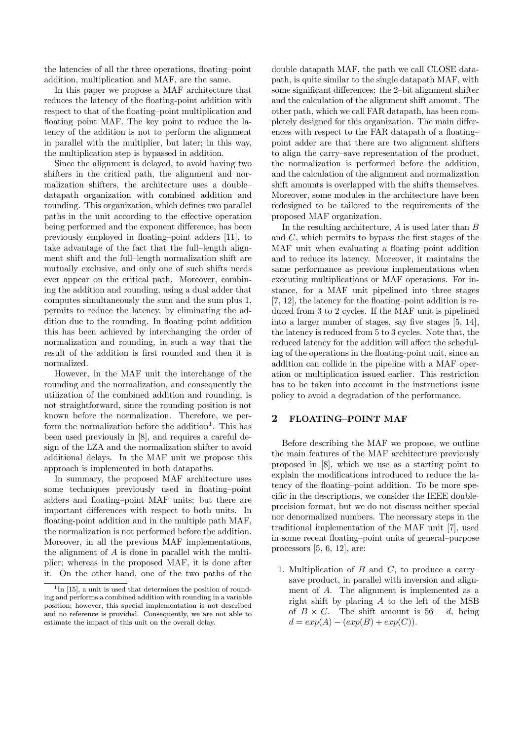the latencies of all the three operations, floating—point addition, multiplication and MAF, are the same.

In this paper we propose a MAF architecture that reduces the latency of the floating-point addition with respect to that of the floating—point multiplication and floating—point MAF. The key point to reduce the latency of the addition is not to perform the alignment in parallel with the multiplier, but later; in this way, the multiplication step is bypassed in addition.

Since the alignment is delayed, to avoid having two shifters in the critical path, the alignment and normalization shifters, the architecture uses a double datapath organization with combined addition and rounding. This organization, which defines two parallel paths in the unit according to the effective operation being performed and the exponent difference, has been previously employed in floating—point adders [11], to take advantage of the fact that the full—length alignment shift and the full—length normalization shift are mutually exclusive, and only one of such shifts needs ever appear on the critical path. Moreover, combining the addition and rounding, using a dual adder that computes simultaneously the sum and the sum plus 1, permits to reduce the latency, by eliminating the addition due to the rounding. In floating—point addition this has been achieved by interchanging the order of normalization and rounding, in such a way that the result of the addition is first rounded and then it is normalized.

However, in the MAF unit the interchange of the rounding and the normalization, and consequently the utilization of the combined addition and rounding, is not straightforward, since the rounding position is not known before the normalization. Therefore, we perform the normalization before the addition<sup>1</sup>. This has been used previously in [8], and requires a careful design of the LZA and the normalization shifter to avoid additional delays. In the MAF unit we propose this approach is implemented in both datapaths.

In summary, the proposed MAF architecture uses some techniques previously used in floating—point adders and floating—point MAF units; but there are important differences with respect to both units. In floating-point addition and in the multiple path MAF, the normalization is not performed before the addition. Moreover, in all the previous MAF implementations, the alignment of  $A$  is done in parallel with the multiplier; whereas in the proposed MAF, it is done after it. On the other hand, one of the two paths of the double datapath MAF, the path we call CLOSE datapath, is quite similar to the single datapath MAF, with some significant differences: the 2—bit alignment shifter and the calculation of the alignment shift amount. The other path, which we call FAR datapath, has been completely designed for this organization. The main differences with respect to the FAR datapath of a floatingpoint adder are that there are two alignment shifters to align the carry—save representation of the product, the normalization is performed before the addition, and the calculation of the alignment and normalization shift amounts is overlapped with the shifts themselves. Moreover, some modules in the architecture have been redesigned to be tailored to the requirements of the proposed MAF organization.

In the resulting architecture,  $A$  is used later than  $B$ and C, which permits to bypass the first stages of the MAF unit when evaluating a floating—point addition and to reduce its latency. Moreover, it maintains the same performance as previous implementations when executing multiplications or MAF operations. For instance, for a MAF unit pipelined into three stages [7, 12], the latency for the floating—point addition is reduced from 3 to 2 cycles. If the MAF unit is pipelined into a larger number of stages, say five stages [5, 14], the latency is reduced from 5 to 3 cycles. Note that, the reduced latency for the addition will affect the scheduling of the operations in the floating-point unit, since an addition can collide in the pipeline with a MAF operation or multiplication issued earlier. This restriction has to be taken into account in the instructions issue policy to avoid a degradation of the performance.

## 2 FLOATING—POINT MAF

Before describing the MAF we propose, we outline the main features of the MAF architecture previously proposed in [8], which we use as a starting point to explain the modifications introduced to reduce the latency of the floating—point addition. To be more specific in the descriptions, we consider the IEEE doubleprecision format, but we do not discuss neither special nor denormalized numbers. The necessary steps in the traditional implementation of the MAF unit [7], used in some recent floating—point units of general—purpose processors  $[5, 6, 12]$ , are:

1. Multiplication of B and C, to produce a carrysave product, in parallel with inversion and alignment of A. The alignment is implemented as a right shift by placing A to the left of the MSB of  $B \times C$ . The shift amount is 56 – d, being  $d = exp(A) - (exp(B) + exp(C)).$ 

 $1\text{In }[15]$ , a unit is used that determines the position of rounding and performs a combined addition with rounding in a variable position; however, this special implementation is not described and no reference is provided. Consequently, we are not able to estimate the impact of this unit on the overall delay.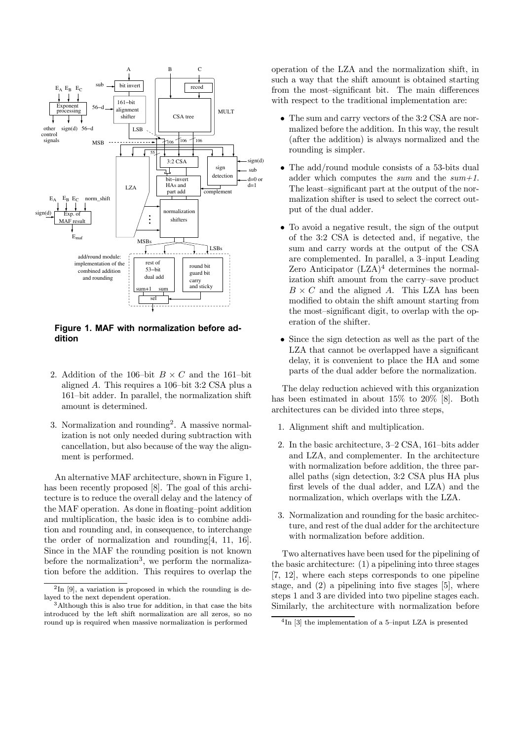

**Figure 1. MAF with normalization before addition**

- 2. Addition of the 106-bit  $B \times C$  and the 161-bit aligned A. This requires a 106—bit 3:2 CSA plus a 161—bit adder. In parallel, the normalization shift amount is determined.
- 3. Normalization and rounding<sup>2</sup>. A massive normalization is not only needed during subtraction with cancellation, but also because of the way the alignment is performed.

An alternative MAF architecture, shown in Figure 1, has been recently proposed [8]. The goal of this architecture is to reduce the overall delay and the latency of the MAF operation. As done in floating—point addition and multiplication, the basic idea is to combine addition and rounding and, in consequence, to interchange the order of normalization and rounding[4, 11, 16]. Since in the MAF the rounding position is not known before the normalization<sup>3</sup>, we perform the normalization before the addition. This requires to overlap the operation of the LZA and the normalization shift, in such a way that the shift amount is obtained starting from the most—significant bit. The main differences with respect to the traditional implementation are:

- The sum and carry vectors of the 3:2 CSA are normalized before the addition. In this way, the result (after the addition) is always normalized and the rounding is simpler.
- The add/round module consists of a 53-bits dual adder which computes the sum and the  $sum+1$ . The least—significant part at the output of the normalization shifter is used to select the correct output of the dual adder.
- To avoid a negative result, the sign of the output of the 3:2 CSA is detected and, if negative, the sum and carry words at the output of the CSA are complemented. In parallel, a 3—input Leading Zero Anticipator  $(LZA)^4$  determines the normalization shift amount from the carry—save product  $B \times C$  and the aligned A. This LZA has been modified to obtain the shift amount starting from the most—significant digit, to overlap with the operation of the shifter.
- Since the sign detection as well as the part of the LZA that cannot be overlapped have a significant delay, it is convenient to place the HA and some parts of the dual adder before the normalization.

The delay reduction achieved with this organization has been estimated in about 15% to 20% [8]. Both architectures can be divided into three steps,

- 1. Alignment shift and multiplication.
- 2. In the basic architecture, 3—2 CSA, 161—bits adder and LZA, and complementer. In the architecture with normalization before addition, the three parallel paths (sign detection, 3:2 CSA plus HA plus first levels of the dual adder, and LZA) and the normalization, which overlaps with the LZA.
- 3. Normalization and rounding for the basic architecture, and rest of the dual adder for the architecture with normalization before addition.

Two alternatives have been used for the pipelining of the basic architecture: (1) a pipelining into three stages [7, 12], where each steps corresponds to one pipeline stage, and (2) a pipelining into five stages [5], where steps 1 and 3 are divided into two pipeline stages each. Similarly, the architecture with normalization before

 $2\text{In } [9]$ , a variation is proposed in which the rounding is delayed to the next dependent operation.

<sup>3</sup>Although this is also true for addition, in that case the bits introduced by the left shift normalization are all zeros, so no round up is required when massive normalization is performed

<sup>4</sup>In [3] the implementation of a 5—input LZA is presented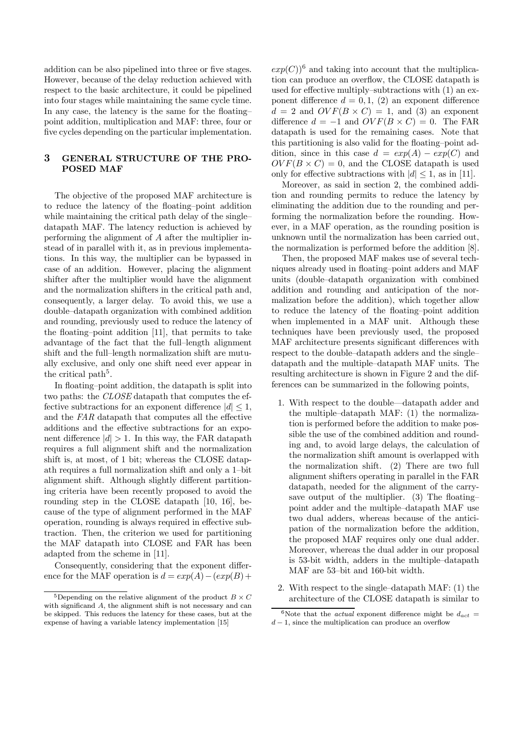addition can be also pipelined into three or five stages. However, because of the delay reduction achieved with respect to the basic architecture, it could be pipelined into four stages while maintaining the same cycle time. In any case, the latency is the same for the floating point addition, multiplication and MAF: three, four or five cycles depending on the particular implementation.

## 3 GENERAL STRUCTURE OF THE PRO-POSED MAF

The objective of the proposed MAF architecture is to reduce the latency of the floating—point addition while maintaining the critical path delay of the single datapath MAF. The latency reduction is achieved by performing the alignment of A after the multiplier instead of in parallel with it, as in previous implementations. In this way, the multiplier can be bypassed in case of an addition. However, placing the alignment shifter after the multiplier would have the alignment and the normalization shifters in the critical path and, consequently, a larger delay. To avoid this, we use a double—datapath organization with combined addition and rounding, previously used to reduce the latency of the floating—point addition [11], that permits to take advantage of the fact that the full—length alignment shift and the full—length normalization shift are mutually exclusive, and only one shift need ever appear in the critical path<sup>5</sup>.

In floating—point addition, the datapath is split into two paths: the CLOSE datapath that computes the effective subtractions for an exponent difference  $|d| \leq 1$ , and the FAR datapath that computes all the effective additions and the effective subtractions for an exponent difference  $|d| > 1$ . In this way, the FAR datapath requires a full alignment shift and the normalization shift is, at most, of 1 bit; whereas the CLOSE datapath requires a full normalization shift and only a 1—bit alignment shift. Although slightly different partitioning criteria have been recently proposed to avoid the rounding step in the CLOSE datapath [10, 16], because of the type of alignment performed in the MAF operation, rounding is always required in effective subtraction. Then, the criterion we used for partitioning the MAF datapath into CLOSE and FAR has been adapted from the scheme in [11].

Consequently, considering that the exponent difference for the MAF operation is  $d = exp(A) - (exp(B)) +$ 

 $exp(C)$ <sup>6</sup> and taking into account that the multiplication can produce an overflow, the CLOSE datapath is used for effective multiply—subtractions with (1) an exponent difference  $d = 0, 1, (2)$  an exponent difference  $d = 2$  and  $OVF(B \times C) = 1$ , and (3) an exponent difference  $d = -1$  and  $OVF(B \times C) = 0$ . The FAR datapath is used for the remaining cases. Note that this partitioning is also valid for the floating—point addition, since in this case  $d = exp(A) - exp(C)$  and  $OVF(B \times C) = 0$ , and the CLOSE datapath is used only for effective subtractions with  $|d| \leq 1$ , as in [11].

Moreover, as said in section 2, the combined addition and rounding permits to reduce the latency by eliminating the addition due to the rounding and performing the normalization before the rounding. However, in a MAF operation, as the rounding position is unknown until the normalization has been carried out, the normalization is performed before the addition [8].

Then, the proposed MAF makes use of several techniques already used in floating—point adders and MAF units (double—datapath organization with combined addition and rounding and anticipation of the normalization before the addition), which together allow to reduce the latency of the floating—point addition when implemented in a MAF unit. Although these techniques have been previously used, the proposed MAF architecture presents significant differences with respect to the double—datapath adders and the single datapath and the multiple—datapath MAF units. The resulting architecture is shown in Figure 2 and the differences can be summarized in the following points,

- 1. With respect to the double–datapath adder and the multiple—datapath MAF: (1) the normalization is performed before the addition to make possible the use of the combined addition and rounding and, to avoid large delays, the calculation of the normalization shift amount is overlapped with the normalization shift. (2) There are two full alignment shifters operating in parallel in the FAR datapath, needed for the alignment of the carrysave output of the multiplier.  $(3)$  The floatingpoint adder and the multiple—datapath MAF use two dual adders, whereas because of the anticipation of the normalization before the addition, the proposed MAF requires only one dual adder. Moreover, whereas the dual adder in our proposal is 53-bit width, adders in the multiple—datapath MAF are 53—bit and 160-bit width.
- 2. With respect to the single—datapath MAF: (1) the architecture of the CLOSE datapath is similar to

<sup>&</sup>lt;sup>5</sup>Depending on the relative alignment of the product  $B \times C$ with significand A, the alignment shift is not necessary and can be skipped. This reduces the latency for these cases, but at the expense of having a variable latency implementation [15]

<sup>&</sup>lt;sup>6</sup>Note that the *actual* exponent difference might be  $d_{act}$  =  $d-1$ , since the multiplication can produce an overflow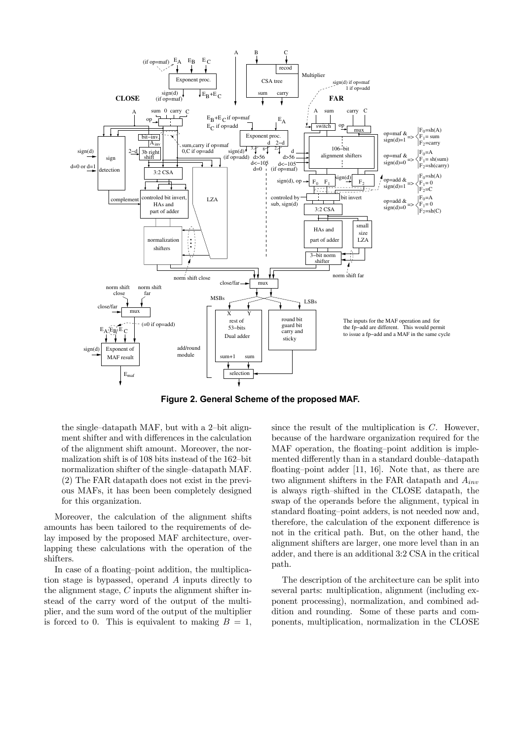

**Figure 2. General Scheme of the proposed MAF.**

the single—datapath MAF, but with a 2—bit alignment shifter and with differences in the calculation of the alignment shift amount. Moreover, the normalization shift is of 108 bits instead of the 162—bit normalization shifter of the single—datapath MAF. (2) The FAR datapath does not exist in the previous MAFs, it has been been completely designed for this organization.

Moreover, the calculation of the alignment shifts amounts has been tailored to the requirements of delay imposed by the proposed MAF architecture, overlapping these calculations with the operation of the shifters.

In case of a floating—point addition, the multiplication stage is bypassed, operand A inputs directly to the alignment stage,  $C$  inputs the alignment shifter instead of the carry word of the output of the multiplier, and the sum word of the output of the multiplier is forced to 0. This is equivalent to making  $B = 1$ , since the result of the multiplication is  $C$ . However, because of the hardware organization required for the MAF operation, the floating—point addition is implemented differently than in a standard double—datapath floating—point adder [11, 16]. Note that, as there are two alignment shifters in the FAR datapath and  $A_{inv}$ is always rigth—shifted in the CLOSE datapath, the swap of the operands before the alignment, typical in standard floating—point adders, is not needed now and, therefore, the calculation of the exponent difference is not in the critical path. But, on the other hand, the alignment shifters are larger, one more level than in an adder, and there is an additional 3:2 CSA in the critical path.

The description of the architecture can be split into several parts: multiplication, alignment (including exponent processing), normalization, and combined addition and rounding. Some of these parts and components, multiplication, normalization in the CLOSE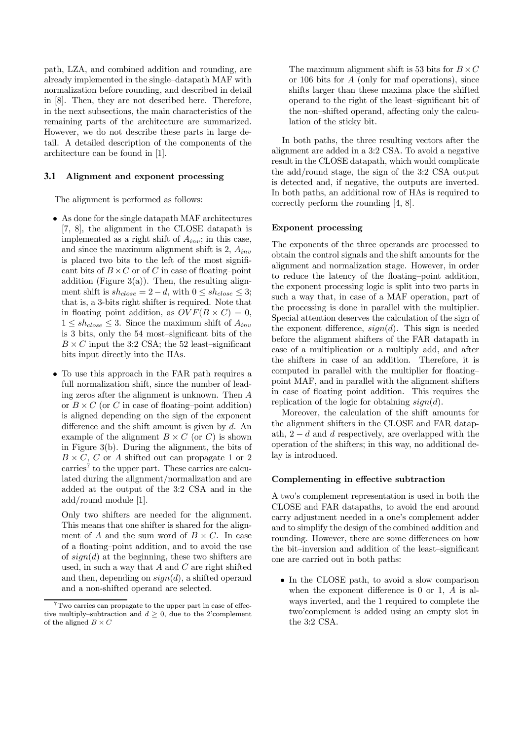path, LZA, and combined addition and rounding, are already implemented in the single—datapath MAF with normalization before rounding, and described in detail in [8]. Then, they are not described here. Therefore, in the next subsections, the main characteristics of the remaining parts of the architecture are summarized. However, we do not describe these parts in large detail. A detailed description of the components of the architecture can be found in [1].

#### **3.1** Alignment and exponent processing

The alignment is performed as follows:

- As done for the single datapath MAF architectures [7, 8], the alignment in the CLOSE datapath is implemented as a right shift of  $A_{inv}$ ; in this case, and since the maximum alignment shift is 2,  $A_{inv}$ is placed two bits to the left of the most significant bits of  $B \times C$  or of C in case of floating-point addition (Figure  $3(a)$ ). Then, the resulting alignment shift is  $sh_{close} = 2 - d$ , with  $0 \leq sh_{close} \leq 3$ ; that is, a 3-bits right shifter is required. Note that in floating–point addition, as  $OVF(B \times C) = 0$ ,  $1 \leq sh_{close} \leq 3$ . Since the maximum shift of  $A_{inv}$ is 3 bits, only the 54 most—significant bits of the  $B\times C$  input the 3:2 CSA; the 52 least–significant bits input directly into the HAs.
- To use this approach in the FAR path requires a full normalization shift, since the number of leading zeros after the alignment is unknown. Then A or  $B \times C$  (or C in case of floating–point addition) is aligned depending on the sign of the exponent difference and the shift amount is given by d. An example of the alignment  $B \times C$  (or C) is shown in Figure 3(b). During the alignment, the bits of  $B \times C$ , C or A shifted out can propagate 1 or 2  $carries<sup>7</sup>$  to the upper part. These carries are calculated during the alignment/normalization and are added at the output of the 3:2 CSA and in the add/round module [1].

Only two shifters are needed for the alignment. This means that one shifter is shared for the alignment of A and the sum word of  $B \times C$ . In case of a floating—point addition, and to avoid the use of  $sign(d)$  at the beginning, these two shifters are used, in such a way that  $A$  and  $C$  are right shifted and then, depending on  $sign(d)$ , a shifted operand and a non-shifted operand are selected.

The maximum alignment shift is 53 bits for  $B \times C$ or 106 bits for A (only for maf operations), since shifts larger than these maxima place the shifted operand to the right of the least—significant bit of the non—shifted operand, affecting only the calculation of the sticky bit.

In both paths, the three resulting vectors after the alignment are added in a 3:2 CSA. To avoid a negative result in the CLOSE datapath, which would complicate the add/round stage, the sign of the 3:2 CSA output is detected and, if negative, the outputs are inverted. In both paths, an additional row of HAs is required to correctly perform the rounding [4, 8].

#### Exponent processing

The exponents of the three operands are processed to obtain the control signals and the shift amounts for the alignment and normalization stage. However, in order to reduce the latency of the floating—point addition, the exponent processing logic is split into two parts in such a way that, in case of a MAF operation, part of the processing is done in parallel with the multiplier. Special attention deserves the calculation of the sign of the exponent difference,  $sign(d)$ . This sign is needed before the alignment shifters of the FAR datapath in case of a multiplication or a multiply—add, and after the shifters in case of an addition. Therefore, it is computed in parallel with the multiplier for floating point MAF, and in parallel with the alignment shifters in case of floating—point addition. This requires the replication of the logic for obtaining  $sign(d)$ .

Moreover, the calculation of the shift amounts for the alignment shifters in the CLOSE and FAR datapath,  $2 - d$  and d respectively, are overlapped with the operation of the shifters; in this way, no additional delay is introduced.

#### Complementing in effective subtraction

A two's complement representation is used in both the CLOSE and FAR datapaths, to avoid the end around carry adjustment needed in a one's complement adder and to simplify the design of the combined addition and rounding. However, there are some differences on how the bit—inversion and addition of the least—significant one are carried out in both paths:

• In the CLOSE path, to avoid a slow comparison when the exponent difference is 0 or 1, A is always inverted, and the 1 required to complete the two'complement is added using an empty slot in the 3:2 CSA.

<sup>7</sup>Two carries can propagate to the upper part in case of effective multiply–subtraction and  $d \geq 0$ , due to the 2'complement of the aligned  $B \times C$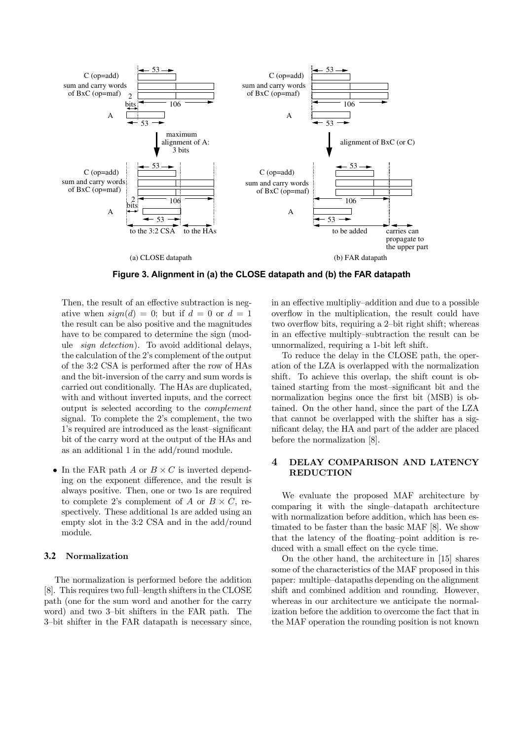

**Figure 3. Alignment in (a) the CLOSE datapath and (b) the FAR datapath**

Then, the result of an effective subtraction is negative when  $sign(d) = 0$ ; but if  $d = 0$  or  $d = 1$ the result can be also positive and the magnitudes have to be compared to determine the sign (module sign detection). To avoid additional delays, the calculation of the 2's complement of the output of the 3:2 CSA is performed after the row of HAs and the bit-inversion of the carry and sum words is carried out conditionally. The HAs are duplicated, with and without inverted inputs, and the correct output is selected according to the complement signal. To complete the 2's complement, the two 1's required are introduced as the least—significant bit of the carry word at the output of the HAs and as an additional 1 in the add/round module.

• In the FAR path A or  $B \times C$  is inverted depending on the exponent difference, and the result is always positive. Then, one or two 1s are required to complete 2's complement of A or  $B \times C$ , respectively. These additional 1s are added using an empty slot in the 3:2 CSA and in the add/round module.

## **3.2** Normalization

The normalization is performed before the addition [8]. This requires two full—length shifters in the CLOSE path (one for the sum word and another for the carry word) and two 3—bit shifters in the FAR path. The 3—bit shifter in the FAR datapath is necessary since, in an effective multipliy—addition and due to a possible overflow in the multiplication, the result could have two overflow bits, requiring a 2—bit right shift; whereas in an effective multiply—subtraction the result can be unnormalized, requiring a 1-bit left shift.

To reduce the delay in the CLOSE path, the operation of the LZA is overlapped with the normalization shift. To achieve this overlap, the shift count is obtained starting from the most—significant bit and the normalization begins once the first bit (MSB) is obtained. On the other hand, since the part of the LZA that cannot be overlapped with the shifter has a significant delay, the HA and part of the adder are placed before the normalization [8].

# 4 DELAY COMPARISON AND LATENCY REDUCTION

We evaluate the proposed MAF architecture by comparing it with the single—datapath architecture with normalization before addition, which has been estimated to be faster than the basic MAF [8]. We show that the latency of the floating—point addition is reduced with a small effect on the cycle time.

On the other hand, the architecture in [15] shares some of the characteristics of the MAF proposed in this paper: multiple—datapaths depending on the alignment shift and combined addition and rounding. However, whereas in our architecture we anticipate the normalization before the addition to overcome the fact that in the MAF operation the rounding position is not known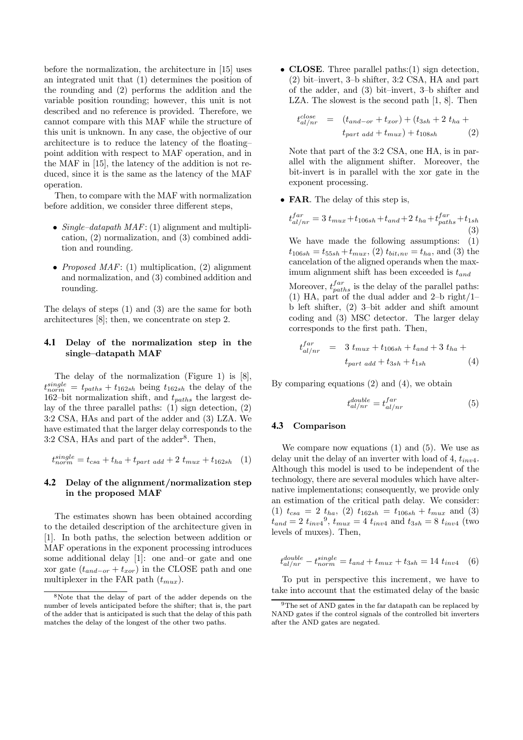before the normalization, the architecture in [15] uses an integrated unit that (1) determines the position of the rounding and (2) performs the addition and the variable position rounding; however, this unit is not described and no reference is provided. Therefore, we cannot compare with this MAF while the structure of this unit is unknown. In any case, the objective of our architecture is to reduce the latency of the floating point addition with respect to MAF operation, and in the MAF in [15], the latency of the addition is not reduced, since it is the same as the latency of the MAF operation.

Then, to compare with the MAF with normalization before addition, we consider three different steps,

- Single-datapath  $MAF$ : (1) alignment and multiplication, (2) normalization, and (3) combined addition and rounding.
- Proposed MAF: (1) multiplication, (2) alignment and normalization, and (3) combined addition and rounding.

The delays of steps (1) and (3) are the same for both architectures [8]; then, we concentrate on step 2.

## **4.1** Delay of the normalization step in the single—datapath MAF

The delay of the normalization (Figure 1) is [8],  $t_{norm}^{single} = t_{paths} + t_{162sh}$  being  $t_{162sh}$  the delay of the 162–bit normalization shift, and  $t_{paths}$  the largest delay of the three parallel paths: (1) sign detection, (2) 3:2 CSA, HAs and part of the adder and (3) LZA. We have estimated that the larger delay corresponds to the 3:2 CSA, HAs and part of the adder<sup>8</sup>. Then,

$$
t_{norm}^{single} = t_{csa} + t_{ha} + t_{part\ add} + 2 t_{mux} + t_{162sh} \quad (1)
$$

### **4.2** Delay of the alignment/normalization step in the proposed MAF

The estimates shown has been obtained according to the detailed description of the architecture given in [1]. In both paths, the selection between addition or MAF operations in the exponent processing introduces some additional delay [1]: one and—or gate and one xor gate  $(t_{and-or} + t_{xor})$  in the CLOSE path and one multiplexer in the FAR path  $(t_{max})$ .

• **CLOSE**. Three parallel paths: (1) sign detection, (2) bit—invert, 3—b shifter, 3:2 CSA, HA and part of the adder, and (3) bit—invert, 3—b shifter and LZA. The slowest is the second path [1, 8]. Then

$$
t_{al/nr}^{close} = (t_{and-or} + t_{xor}) + (t_{3sh} + 2 t_{ha} + t_{part\ add} + t_{mur}) + t_{108sh}
$$
 (2)

Note that part of the 3:2 CSA, one HA, is in parallel with the alignment shifter. Moreover, the bit-invert is in parallel with the xor gate in the exponent processing.

• **FAR**. The delay of this step is,

$$
t_{al/nr}^{far} = 3 t_{mux} + t_{106sh} + t_{and} + 2 t_{ha} + t_{paths}^{far} + t_{1sh}
$$
\n(3)

We have made the following assumptions: (1)  $t_{106sh} = t_{55sh} + t_{mux}, (2) t_{bit_inv} = t_{ha}, \text{ and } (3) \text{ the}$ cancelation of the aligned operands when the maximum alignment shift has been exceeded is  $t_{and}$ 

Moreover,  $t_{paths}^{far}$  is the delay of the parallel paths: (1) HA, part of the dual adder and 2—b right/1 b left shifter, (2) 3—bit adder and shift amount coding and (3) MSC detector. The larger delay corresponds to the first path. Then,

$$
t_{al/nr}^{far} = 3 t_{mux} + t_{106sh} + t_{and} + 3 t_{ha} + t_{part\, 4d + t_{3sh} + t_{1sh}
$$
\n(4)

By comparing equations (2) and (4), we obtain

$$
t_{al/nr}^{double} = t_{al/nr}^{far} \tag{5}
$$

## **4.3** Comparison

We compare now equations  $(1)$  and  $(5)$ . We use as delay unit the delay of an inverter with load of 4,  $t_{inv4}$ . Although this model is used to be independent of the technology, there are several modules which have alternative implementations; consequently, we provide only an estimation of the critical path delay. We consider: (1)  $t_{csa} = 2 t_{ha}$ , (2)  $t_{162sh} = t_{106sh} + t_{mu}$  and (3)  $t_{and} = 2 t_{inv4}^{9}, t_{mix} = 4 t_{inv4}$  and  $t_{3sh} = 8 t_{inv4}$  (two levels of muxes). Then,

$$
t_{al/nr}^{double} - t_{norm}^{single} = t_{and} + t_{mux} + t_{3sh} = 14 t_{inv4} \quad (6)
$$

To put in perspective this increment, we have to take into account that the estimated delay of the basic

<sup>8</sup>Note that the delay of part of the adder depends on the number of levels anticipated before the shifter; that is, the part of the adder that is anticipated is such that the delay of this path matches the delay of the longest of the other two paths.

 $9$ The set of AND gates in the far datapath can be replaced by NAND gates if the control signals of the controlled bit inverters after the AND gates are negated.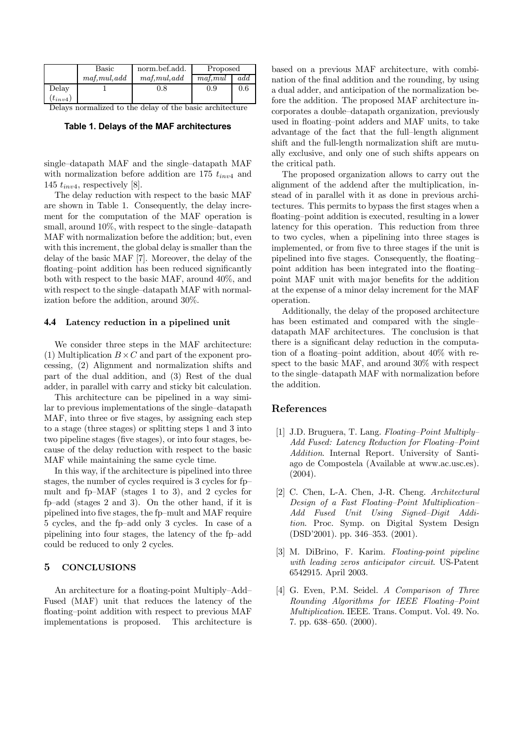|             | Basic         | norm.bef.add. | Proposed |         |
|-------------|---------------|---------------|----------|---------|
|             | maf, mul, add | maf, mul, add | maf, mul | $\,add$ |
| Delay       |               | 0.8           | 0.9      | 0.6     |
| $t_{inv4})$ |               |               |          |         |

Delays normalized to the delay of the basic architecture

**Table 1. Delays of the MAF architectures**

single—datapath MAF and the single—datapath MAF with normalization before addition are 175  $t_{inv4}$  and 145  $t_{inv4}$ , respectively [8].

The delay reduction with respect to the basic MAF are shown in Table 1. Consequently, the delay increment for the computation of the MAF operation is small, around  $10\%$ , with respect to the single-datapath MAF with normalization before the addition; but, even with this increment, the global delay is smaller than the delay of the basic MAF [7]. Moreover, the delay of the floating—point addition has been reduced significantly both with respect to the basic MAF, around 40%, and with respect to the single—datapath MAF with normalization before the addition, around 30%.

#### **4.4** Latency reduction in a pipelined unit

We consider three steps in the MAF architecture: (1) Multiplication  $B \times C$  and part of the exponent processing, (2) Alignment and normalization shifts and part of the dual addition, and (3) Rest of the dual adder, in parallel with carry and sticky bit calculation.

This architecture can be pipelined in a way similar to previous implementations of the single—datapath MAF, into three or five stages, by assigning each step to a stage (three stages) or splitting steps 1 and 3 into two pipeline stages (five stages), or into four stages, because of the delay reduction with respect to the basic MAF while maintaining the same cycle time.

In this way, if the architecture is pipelined into three stages, the number of cycles required is 3 cycles for fp mult and fp—MAF (stages 1 to 3), and 2 cycles for fp—add (stages 2 and 3). On the other hand, if it is pipelined into five stages, the fp—mult and MAF require 5 cycles, and the fp—add only 3 cycles. In case of a pipelining into four stages, the latency of the fp—add could be reduced to only 2 cycles.

## 5 CONCLUSIONS

An architecture for a floating-point Multiply—Add— Fused (MAF) unit that reduces the latency of the floating—point addition with respect to previous MAF implementations is proposed. This architecture is based on a previous MAF architecture, with combination of the final addition and the rounding, by using a dual adder, and anticipation of the normalization before the addition. The proposed MAF architecture incorporates a double—datapath organization, previously used in floating—point adders and MAF units, to take advantage of the fact that the full—length alignment shift and the full-length normalization shift are mutually exclusive, and only one of such shifts appears on the critical path.

The proposed organization allows to carry out the alignment of the addend after the multiplication, instead of in parallel with it as done in previous architectures. This permits to bypass the first stages when a floating—point addition is executed, resulting in a lower latency for this operation. This reduction from three to two cycles, when a pipelining into three stages is implemented, or from five to three stages if the unit is pipelined into five stages. Consequently, the floating point addition has been integrated into the floating point MAF unit with major benefits for the addition at the expense of a minor delay increment for the MAF operation.

Additionally, the delay of the proposed architecture has been estimated and compared with the single datapath MAF architectures. The conclusion is that there is a significant delay reduction in the computation of a floating—point addition, about 40% with respect to the basic MAF, and around 30% with respect to the single—datapath MAF with normalization before the addition.

### References

- [1] J.D. Bruguera, T. Lang. Floating—Point Multiply— Add Fused: Latency Reduction for Floating—Point Addition. Internal Report. University of Santiago de Compostela (Available at www.ac.usc.es). (2004).
- [2] C. Chen, L-A. Chen, J-R. Cheng. Architectural Design of a Fast Floating—Point Multiplication— Add Fused Unit Using Signed—Digit Addition. Proc. Symp. on Digital System Design (DSD'2001). pp. 346—353. (2001).
- [3] M. DiBrino, F. Karim. Floating-point pipeline with leading zeros anticipator circuit. US-Patent 6542915. April 2003.
- [4] G. Even, P.M. Seidel. A Comparison of Three Rounding Algorithms for IEEE Floating—Point Multiplication. IEEE. Trans. Comput. Vol. 49. No. 7. pp. 638—650. (2000).